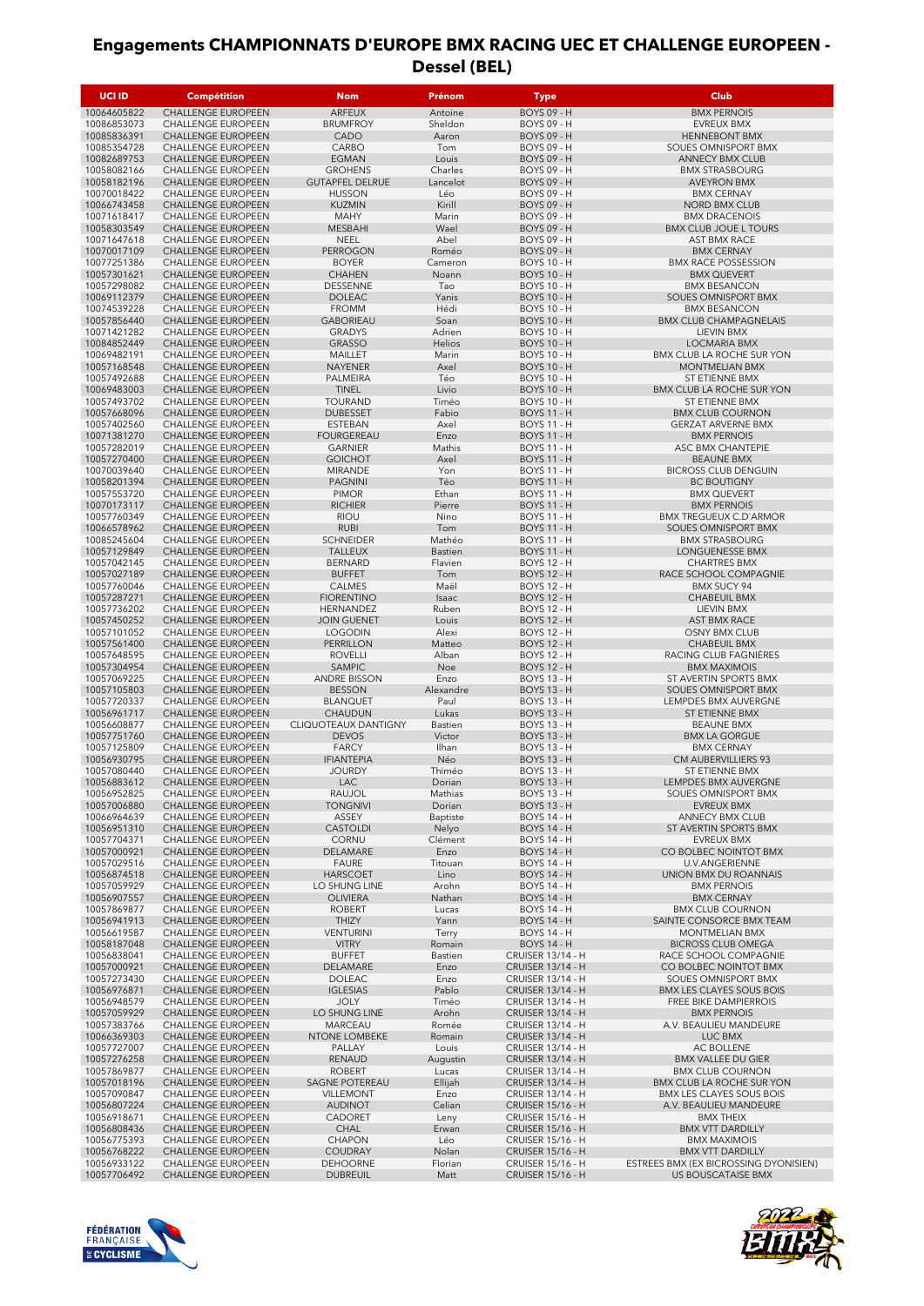| <b>UCI ID</b>              | <b>Compétition</b>                                     | <b>Nom</b>                           | Prénom            | Type                                                 | <b>Club</b>                                                      |
|----------------------------|--------------------------------------------------------|--------------------------------------|-------------------|------------------------------------------------------|------------------------------------------------------------------|
| 10064605822                | CHALLENGE EUROPEEN                                     | ARFEUX                               | Antoine           | <b>BOYS 09 - H</b>                                   | <b>BMX PERNOIS</b>                                               |
| 10086853073                | <b>CHALLENGE EUROPEEN</b>                              | <b>BRUMFROY</b>                      | Sheldon           | <b>BOYS 09 - H</b>                                   | <b>EVREUX BMX</b>                                                |
| 10085836391<br>10085354728 | <b>CHALLENGE EUROPEEN</b><br><b>CHALLENGE EUROPEEN</b> | CADO<br>CARBO                        | Aaron<br>Tom      | <b>BOYS 09 - H</b><br><b>BOYS 09 - H</b>             | <b>HENNEBONT BMX</b><br>SOUES OMNISPORT BMX                      |
| 10082689753                | <b>CHALLENGE EUROPEEN</b>                              | <b>EGMAN</b>                         | Louis             | <b>BOYS 09 - H</b>                                   | <b>ANNECY BMX CLUB</b>                                           |
| 10058082166                | <b>CHALLENGE EUROPEEN</b>                              | <b>GROHENS</b>                       | Charles           | <b>BOYS 09 - H</b>                                   | <b>BMX STRASBOURG</b>                                            |
| 10058182196                | <b>CHALLENGE EUROPEEN</b>                              | <b>GUTAPFEL DELRUE</b>               | Lancelot          | <b>BOYS 09 - H</b>                                   | <b>AVEYRON BMX</b>                                               |
| 10070018422<br>10066743458 | <b>CHALLENGE EUROPEEN</b><br>CHALLENGE EUROPEEN        | <b>HUSSON</b><br><b>KUZMIN</b>       | Léo<br>Kirill     | <b>BOYS 09 - H</b><br><b>BOYS 09 - H</b>             | <b>BMX CERNAY</b><br><b>NORD BMX CLUB</b>                        |
| 10071618417                | <b>CHALLENGE EUROPEEN</b>                              | <b>MAHY</b>                          | Marin             | <b>BOYS 09 - H</b>                                   | <b>BMX DRACENOIS</b>                                             |
| 10058303549                | <b>CHALLENGE EUROPEEN</b>                              | <b>MESBAHI</b>                       | Wael              | <b>BOYS 09 - H</b>                                   | <b>BMX CLUB JOUE L TOURS</b>                                     |
| 10071647618<br>10070017109 | <b>CHALLENGE EUROPEEN</b><br><b>CHALLENGE EUROPEEN</b> | <b>NEEL</b><br><b>PERROGON</b>       | Abel<br>Roméo     | <b>BOYS 09 - H</b><br><b>BOYS 09 - H</b>             | <b>AST BMX RACE</b><br><b>BMX CERNAY</b>                         |
| 10077251386                | <b>CHALLENGE EUROPEEN</b>                              | <b>BOYER</b>                         | Cameron           | <b>BOYS 10 - H</b>                                   | <b>BMX RACE POSSESSION</b>                                       |
| 10057301621                | <b>CHALLENGE EUROPEEN</b>                              | <b>CHAHEN</b>                        | Noann             | <b>BOYS 10 - H</b>                                   | <b>BMX QUEVERT</b>                                               |
| 10057298082<br>10069112379 | <b>CHALLENGE EUROPEEN</b><br>CHALLENGE EUROPEEN        | <b>DESSENNE</b><br><b>DOLEAC</b>     | Tao<br>Yanis      | <b>BOYS 10 - H</b><br><b>BOYS 10 - H</b>             | <b>BMX BESANCON</b><br>SOUES OMNISPORT BMX                       |
| 10074539228                | <b>CHALLENGE EUROPEEN</b>                              | <b>FROMM</b>                         | Hédi              | <b>BOYS 10 - H</b>                                   | <b>BMX BESANCON</b>                                              |
| 10057856440                | CHALLENGE EUROPEEN                                     | <b>GABORIEAU</b>                     | Soan              | <b>BOYS 10 - H</b>                                   | <b>BMX CLUB CHAMPAGNELAIS</b>                                    |
| 10071421282<br>10084852449 | <b>CHALLENGE EUROPEEN</b><br>CHALLENGE EUROPEEN        | <b>GRADYS</b><br><b>GRASSO</b>       | Adrien<br>Helios  | <b>BOYS 10 - H</b><br><b>BOYS 10 - H</b>             | LIEVIN BMX<br>LOCMARIA BMX                                       |
| 10069482191                | <b>CHALLENGE EUROPEEN</b>                              | MAILLET                              | Marin             | <b>BOYS 10 - H</b>                                   | BMX CLUB LA ROCHE SUR YON                                        |
| 10057168548                | <b>CHALLENGE EUROPEEN</b>                              | <b>NAYENER</b>                       | Axel              | <b>BOYS 10 - H</b>                                   | <b>MONTMELIAN BMX</b>                                            |
| 10057492688<br>10069483003 | <b>CHALLENGE EUROPEEN</b><br><b>CHALLENGE EUROPEEN</b> | PALMEIRA<br><b>TINEL</b>             | Téo<br>Livio      | <b>BOYS 10 - H</b><br><b>BOYS 10 - H</b>             | ST ETIENNE BMX<br><b>BMX CLUB LA ROCHE SUR YON</b>               |
| 10057493702                | <b>CHALLENGE EUROPEEN</b>                              | <b>TOURAND</b>                       | Timéo             | <b>BOYS 10 - H</b>                                   | ST ETIENNE BMX                                                   |
| 10057668096                | <b>CHALLENGE EUROPEEN</b>                              | <b>DUBESSET</b>                      | Fabio             | <b>BOYS 11 - H</b>                                   | <b>BMX CLUB COURNON</b>                                          |
| 10057402560                | <b>CHALLENGE EUROPEEN</b>                              | <b>ESTEBAN</b>                       | Axel              | <b>BOYS 11 - H</b>                                   | <b>GERZAT ARVERNE BMX</b>                                        |
| 10071381270<br>10057282019 | <b>CHALLENGE EUROPEEN</b><br><b>CHALLENGE EUROPEEN</b> | FOURGEREAU<br><b>GARNIER</b>         | Enzo<br>Mathis    | <b>BOYS 11 - H</b><br><b>BOYS 11 - H</b>             | <b>BMX PERNOIS</b><br>ASC BMX CHANTEPIE                          |
| 10057270400                | <b>CHALLENGE EUROPEEN</b>                              | <b>GOICHOT</b>                       | Axel              | <b>BOYS 11 - H</b>                                   | <b>BEAUNE BMX</b>                                                |
| 10070039640                | <b>CHALLENGE EUROPEEN</b>                              | <b>MIRANDE</b>                       | Yon               | <b>BOYS 11 - H</b>                                   | <b>BICROSS CLUB DENGUIN</b>                                      |
| 10058201394<br>10057553720 | <b>CHALLENGE EUROPEEN</b><br>CHALLENGE EUROPEEN        | <b>PAGNINI</b><br><b>PIMOR</b>       | Téo<br>Ethan      | <b>BOYS 11 - H</b><br><b>BOYS 11 - H</b>             | <b>BC BOUTIGNY</b><br><b>BMX QUEVERT</b>                         |
| 10070173117                | <b>CHALLENGE EUROPEEN</b>                              | <b>RICHIER</b>                       | Pierre            | <b>BOYS 11 - H</b>                                   | <b>BMX PERNOIS</b>                                               |
| 10057760349                | <b>CHALLENGE EUROPEEN</b>                              | <b>RIOU</b>                          | Nino              | <b>BOYS 11 - H</b>                                   | <b>BMX TREGUEUX C.D'ARMOR</b>                                    |
| 10066578962<br>10085245604 | <b>CHALLENGE EUROPEEN</b><br><b>CHALLENGE EUROPEEN</b> | <b>RUBI</b><br><b>SCHNEIDER</b>      | Tom<br>Mathéo     | <b>BOYS 11 - H</b><br><b>BOYS 11 - H</b>             | SOUES OMNISPORT BMX<br><b>BMX STRASBOURG</b>                     |
| 10057129849                | <b>CHALLENGE EUROPEEN</b>                              | <b>TALLEUX</b>                       | Bastien           | <b>BOYS 11 - H</b>                                   | LONGUENESSE BMX                                                  |
| 10057042145                | CHALLENGE EUROPEEN                                     | <b>BERNARD</b>                       | Flavien           | <b>BOYS 12 - H</b>                                   | <b>CHARTRES BMX</b>                                              |
| 10057027189                | <b>CHALLENGE EUROPEEN</b>                              | <b>BUFFET</b>                        | Tom               | <b>BOYS 12 - H</b><br><b>BOYS 12 - H</b>             | RACE SCHOOL COMPAGNIE                                            |
| 10057760046<br>10057287271 | <b>CHALLENGE EUROPEEN</b><br>CHALLENGE EUROPEEN        | <b>CALMES</b><br><b>FIORENTINO</b>   | Maël<br>Isaac     | <b>BOYS 12 - H</b>                                   | <b>BMX SUCY 94</b><br><b>CHABEUIL BMX</b>                        |
| 10057736202                | CHALLENGE EUROPEEN                                     | HERNANDEZ                            | Ruben             | <b>BOYS 12 - H</b>                                   | LIEVIN BMX                                                       |
| 10057450252                | <b>CHALLENGE EUROPEEN</b>                              | <b>JOIN GUENET</b>                   | Louis             | <b>BOYS 12 - H</b>                                   | <b>AST BMX RACE</b>                                              |
| 10057101052<br>10057561400 | <b>CHALLENGE EUROPEEN</b><br><b>CHALLENGE EUROPEEN</b> | <b>LOGODIN</b><br><b>PERRILLON</b>   | Alexi<br>Matteo   | <b>BOYS 12 - H</b><br><b>BOYS 12 - H</b>             | OSNY BMX CLUB<br><b>CHABEUIL BMX</b>                             |
| 10057648595                | <b>CHALLENGE EUROPEEN</b>                              | <b>ROVELLI</b>                       | Alban             | <b>BOYS 12 - H</b>                                   | RACING CLUB FAGNIÈRES                                            |
| 10057304954                | <b>CHALLENGE EUROPEEN</b>                              | SAMPIC                               | Noe               | <b>BOYS 12 - H</b>                                   | <b>BMX MAXIMOIS</b>                                              |
| 10057069225<br>10057105803 | <b>CHALLENGE EUROPEEN</b><br><b>CHALLENGE EUROPEEN</b> | <b>ANDRE BISSON</b><br><b>BESSON</b> | Enzo<br>Alexandre | <b>BOYS 13 - H</b><br><b>BOYS 13 - H</b>             | ST AVERTIN SPORTS BMX<br>SOUES OMNISPORT BMX                     |
| 10057720337                | <b>CHALLENGE EUROPEEN</b>                              | <b>BLANQUET</b>                      | Paul              | <b>BOYS 13 - H</b>                                   | LEMPDES BMX AUVERGNE                                             |
| 10056961717                | <b>CHALLENGE EUROPEEN</b>                              | CHAUDUN                              | Lukas             | <b>BOYS 13 - H</b>                                   | ST ETIENNE BMX                                                   |
| 10056608877<br>10057751760 | <b>CHALLENGE EUROPEEN</b><br><b>CHALLENGE EUROPEEN</b> | CLIQUOTEAUX DANTIGNY<br><b>DEVOS</b> | Bastien<br>Victor | <b>BOYS 13 - H</b><br><b>BOYS 13 - H</b>             | <b>BEAUNE BMX</b><br><b>BMX LA GORGUE</b>                        |
| 10057125809                | <b>CHALLENGE EUROPEEN</b>                              | <b>FARCY</b>                         | Ilhan             | <b>BOYS 13 - H</b>                                   | <b>BMX CERNAY</b>                                                |
| 10056930795                | <b>CHALLENGE EUROPEEN</b>                              | <b>IFIANTEPIA</b>                    | Néo               | <b>BOYS 13 - H</b>                                   | CM AUBERVILLIERS 93                                              |
| 10057080440<br>10056883612 | <b>CHALLENGE EUROPEEN</b><br>CHALLENGE EUROPEEN        | <b>JOURDY</b><br>LAC                 | Thiméo<br>Dorian  | <b>BOYS 13 - H</b><br><b>BOYS 13 - H</b>             | ST ETIENNE BMX<br>LEMPDES BMX AUVERGNE                           |
| 10056952825                | CHALLENGE EUROPEEN                                     | <b>RAUJOL</b>                        | Mathias           | <b>BOYS 13 - H</b>                                   | SOUES OMNISPORT BMX                                              |
| 10057006880                | CHALLENGE EUROPEEN                                     | <b>TONGNIVI</b>                      | Dorian            | <b>BOYS 13 - H</b>                                   | <b>EVREUX BMX</b>                                                |
| 10066964639<br>10056951310 | <b>CHALLENGE EUROPEEN</b><br><b>CHALLENGE EUROPEEN</b> | ASSEY<br><b>CASTOLDI</b>             | Baptiste<br>Nelyo | <b>BOYS 14 - H</b><br><b>BOYS 14 - H</b>             | <b>ANNECY BMX CLUB</b><br>ST AVERTIN SPORTS BMX                  |
| 10057704371                | CHALLENGE EUROPEEN                                     | <b>CORNU</b>                         | Clément           | <b>BOYS 14 - H</b>                                   | EVREUX BMX                                                       |
| 10057000921                | CHALLENGE EUROPEEN                                     | DELAMARE                             | Enzo              | <b>BOYS 14 - H</b>                                   | CO BOLBEC NOINTOT BMX                                            |
| 10057029516<br>10056874518 | CHALLENGE EUROPEEN<br>CHALLENGE EUROPEEN               | <b>FAURE</b><br><b>HARSCOET</b>      | Titouan<br>Lino   | <b>BOYS 14 - H</b><br><b>BOYS 14 - H</b>             | U.V.ANGERIENNE<br>UNION BMX DU ROANNAIS                          |
| 10057059929                | CHALLENGE EUROPEEN                                     | LO SHUNG LINE                        | Arohn             | <b>BOYS 14 - H</b>                                   | <b>BMX PERNOIS</b>                                               |
| 10056907557                | <b>CHALLENGE EUROPEEN</b>                              | <b>OLIVIERA</b>                      | Nathan            | <b>BOYS 14 - H</b>                                   | <b>BMX CERNAY</b>                                                |
| 10057869877<br>10056941913 | CHALLENGE EUROPEEN<br>CHALLENGE EUROPEEN               | <b>ROBERT</b><br><b>THIZY</b>        | Lucas<br>Yann     | <b>BOYS 14 - H</b><br><b>BOYS 14 - H</b>             | <b>BMX CLUB COURNON</b><br>SAINTE CONSORCE BMX TEAM              |
| 10056619587                | CHALLENGE EUROPEEN                                     | <b>VENTURINI</b>                     | Terry             | <b>BOYS 14 - H</b>                                   | MONTMELIAN BMX                                                   |
| 10058187048                | CHALLENGE EUROPEEN                                     | <b>VITRY</b>                         | Romain            | <b>BOYS 14 - H</b>                                   | <b>BICROSS CLUB OMEGA</b>                                        |
| 10056838041                | CHALLENGE EUROPEEN<br><b>CHALLENGE EUROPEEN</b>        | <b>BUFFET</b>                        | Bastien           | <b>CRUISER 13/14 - H</b>                             | RACE SCHOOL COMPAGNIE<br>CO BOLBEC NOINTOT BMX                   |
| 10057000921<br>10057273430 | CHALLENGE EUROPEEN                                     | DELAMARE<br><b>DOLEAC</b>            | Enzo<br>Enzo      | <b>CRUISER 13/14 - H</b><br><b>CRUISER 13/14 - H</b> | SOUES OMNISPORT BMX                                              |
| 10056976871                | CHALLENGE EUROPEEN                                     | <b>IGLESIAS</b>                      | Pablo             | <b>CRUISER 13/14 - H</b>                             | <b>BMX LES CLAYES SOUS BOIS</b>                                  |
| 10056948579                | CHALLENGE EUROPEEN                                     | <b>JOLY</b>                          | Timéo             | <b>CRUISER 13/14 - H</b>                             | FREE BIKE DAMPIERROIS                                            |
| 10057059929<br>10057383766 | CHALLENGE EUROPEEN<br><b>CHALLENGE EUROPEEN</b>        | LO SHUNG LINE<br>MARCEAU             | Arohn<br>Romée    | <b>CRUISER 13/14 - H</b><br><b>CRUISER 13/14 - H</b> | <b>BMX PERNOIS</b><br>A.V. BEAULIEU MANDEURE                     |
| 10066369303                | <b>CHALLENGE EUROPEEN</b>                              | NTONE LOMBEKE                        | Romain            | <b>CRUISER 13/14 - H</b>                             | LUC BMX                                                          |
| 10057727007                | CHALLENGE EUROPEEN                                     | PALLAY                               | Louis             | <b>CRUISER 13/14 - H</b>                             | AC BOLLENE                                                       |
| 10057276258<br>10057869877 | CHALLENGE EUROPEEN<br><b>CHALLENGE EUROPEEN</b>        | <b>RENAUD</b><br><b>ROBERT</b>       | Augustin<br>Lucas | <b>CRUISER 13/14 - H</b><br><b>CRUISER 13/14 - H</b> | <b>BMX VALLEE DU GIER</b><br><b>BMX CLUB COURNON</b>             |
| 10057018196                | <b>CHALLENGE EUROPEEN</b>                              | SAGNE POTEREAU                       | Ellijah           | <b>CRUISER 13/14 - H</b>                             | BMX CLUB LA ROCHE SUR YON                                        |
| 10057090847                | CHALLENGE EUROPEEN                                     | <b>VILLEMONT</b>                     | Enzo              | <b>CRUISER 13/14 - H</b>                             | <b>BMX LES CLAYES SOUS BOIS</b>                                  |
| 10056807224<br>10056918671 | CHALLENGE EUROPEEN<br>CHALLENGE EUROPEEN               | <b>AUDINOT</b><br>CADORET            | Celian<br>Leny    | <b>CRUISER 15/16 - H</b><br><b>CRUISER 15/16 - H</b> | A.V. BEAULIEU MANDEURE<br><b>BMX THEIX</b>                       |
| 10056808436                | CHALLENGE EUROPEEN                                     | <b>CHAL</b>                          | Erwan             | <b>CRUISER 15/16 - H</b>                             | <b>BMX VTT DARDILLY</b>                                          |
| 10056775393                | CHALLENGE EUROPEEN                                     | <b>CHAPON</b>                        | Léo               | <b>CRUISER 15/16 - H</b>                             | <b>BMX MAXIMOIS</b>                                              |
| 10056768222<br>10056933122 | CHALLENGE EUROPEEN<br>CHALLENGE EUROPEEN               | COUDRAY<br><b>DEHOORNE</b>           | Nolan<br>Florian  | <b>CRUISER 15/16 - H</b><br><b>CRUISER 15/16 - H</b> | <b>BMX VTT DARDILLY</b><br>ESTREES BMX (EX BICROSSING DYONISIEN) |
| 10057706492                | CHALLENGE EUROPEEN                                     | <b>DUBREUIL</b>                      | Matt              | <b>CRUISER 15/16 - H</b>                             | US BOUSCATAISE BMX                                               |



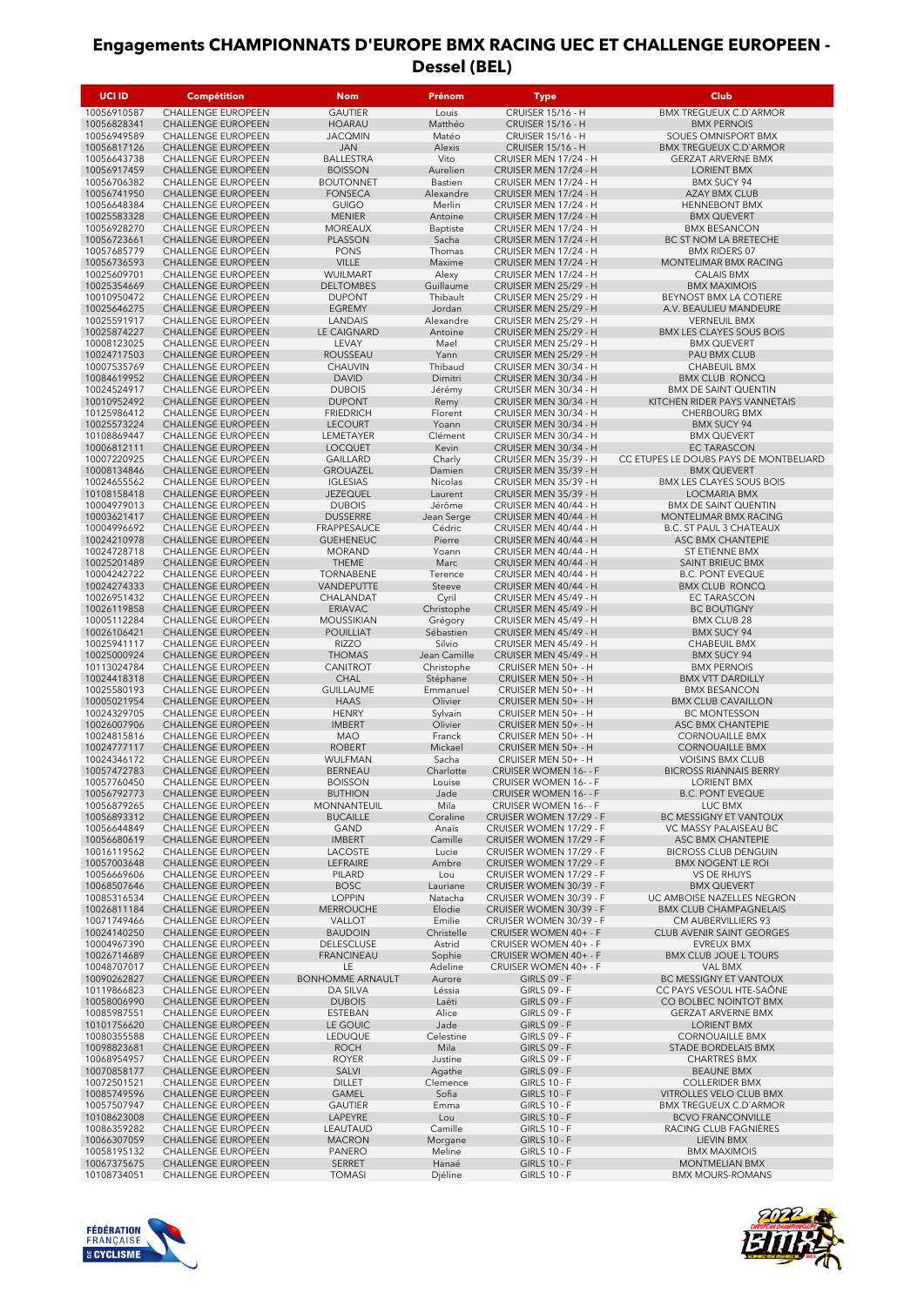| UCI ID                     | <b>Compétition</b>                                     | <b>Nom</b>                         | Prénom              | <b>Type</b>                                        | <b>Club</b>                                          |
|----------------------------|--------------------------------------------------------|------------------------------------|---------------------|----------------------------------------------------|------------------------------------------------------|
| 10056910587                | CHALLENGE EUROPEEN                                     | <b>GAUTIER</b>                     | Louis               | <b>CRUISER 15/16 - H</b>                           | <b>BMX TREGUEUX C.D'ARMOR</b>                        |
| 10056828341                | CHALLENGE EUROPEEN                                     | <b>HOARAU</b>                      | Matthéo             | <b>CRUISER 15/16 - H</b>                           | <b>BMX PERNOIS</b>                                   |
| 10056949589                | <b>CHALLENGE EUROPEEN</b>                              | <b>JACQMIN</b>                     | Matéo               | <b>CRUISER 15/16 - H</b>                           | SOUES OMNISPORT BMX                                  |
| 10056817126                | <b>CHALLENGE EUROPEEN</b>                              | <b>JAN</b>                         | Alexis              | <b>CRUISER 15/16 - H</b>                           | <b>BMX TREGUEUX C.D'ARMOR</b>                        |
| 10056643738                | <b>CHALLENGE EUROPEEN</b><br><b>CHALLENGE EUROPEEN</b> | <b>BALLESTRA</b>                   | Vito<br>Aurelien    | CRUISER MEN 17/24 - H                              | <b>GERZAT ARVERNE BMX</b>                            |
| 10056917459<br>10056706382 | <b>CHALLENGE EUROPEEN</b>                              | <b>BOISSON</b><br><b>BOUTONNET</b> | Bastien             | CRUISER MEN 17/24 - H<br>CRUISER MEN 17/24 - H     | <b>LORIENT BMX</b><br><b>BMX SUCY 94</b>             |
| 10056741950                | <b>CHALLENGE EUROPEEN</b>                              | <b>FONSECA</b>                     | Alexandre           | CRUISER MEN 17/24 - H                              | <b>AZAY BMX CLUB</b>                                 |
| 10056648384                | <b>CHALLENGE EUROPEEN</b>                              | <b>GUIGO</b>                       | Merlin              | CRUISER MEN 17/24 - H                              | <b>HENNEBONT BMX</b>                                 |
| 10025583328                | CHALLENGE EUROPEEN                                     | <b>MENIER</b>                      | Antoine             | CRUISER MEN 17/24 - H                              | <b>BMX QUEVERT</b>                                   |
| 10056928270                | <b>CHALLENGE EUROPEEN</b>                              | <b>MOREAUX</b>                     | Baptiste            | CRUISER MEN 17/24 - H                              | <b>BMX BESANCON</b>                                  |
| 10056723661                | CHALLENGE EUROPEEN                                     | <b>PLASSON</b>                     | Sacha               | CRUISER MEN 17/24 - H                              | BC ST NOM LA BRETECHE                                |
| 10057685779                | <b>CHALLENGE EUROPEEN</b>                              | <b>PONS</b>                        | Thomas              | CRUISER MEN 17/24 - H                              | <b>BMX RIDERS 07</b>                                 |
| 10056736593                | <b>CHALLENGE EUROPEEN</b>                              | <b>VILLE</b>                       | Maxime              | CRUISER MEN 17/24 - H                              | MONTELIMAR BMX RACING                                |
| 10025609701<br>10025354669 | <b>CHALLENGE EUROPEEN</b><br><b>CHALLENGE EUROPEEN</b> | WUILMART<br><b>DELTOMBES</b>       | Alexy<br>Guillaume  | CRUISER MEN 17/24 - H<br>CRUISER MEN 25/29 - H     | <b>CALAIS BMX</b><br><b>BMX MAXIMOIS</b>             |
| 10010950472                | CHALLENGE EUROPEEN                                     | <b>DUPONT</b>                      | Thibault            | CRUISER MEN 25/29 - H                              | BEYNOST BMX LA COTIERE                               |
| 10025646275                | CHALLENGE EUROPEEN                                     | <b>EGREMY</b>                      | Jordan              | CRUISER MEN 25/29 - H                              | A.V. BEAULIEU MANDEURE                               |
| 10025591917                | CHALLENGE EUROPEEN                                     | LANDAIS                            | Alexandre           | CRUISER MEN 25/29 - H                              | <b>VERNEUIL BMX</b>                                  |
| 10025874227                | CHALLENGE EUROPEEN                                     | LE CAIGNARD                        | Antoine             | CRUISER MEN 25/29 - H                              | <b>BMX LES CLAYES SOUS BOIS</b>                      |
| 10008123025                | <b>CHALLENGE EUROPEEN</b>                              | LEVAY                              | Mael                | CRUISER MEN 25/29 - H                              | <b>BMX QUEVERT</b>                                   |
| 10024717503                | CHALLENGE EUROPEEN                                     | <b>ROUSSEAU</b>                    | Yann                | CRUISER MEN 25/29 - H                              | PAU BMX CLUB                                         |
| 10007535769                | CHALLENGE EUROPEEN                                     | CHAUVIN                            | Thibaud             | CRUISER MEN 30/34 - H                              | <b>CHABEUIL BMX</b>                                  |
| 10084619952<br>10024524917 | CHALLENGE EUROPEEN<br>CHALLENGE EUROPEEN               | <b>DAVID</b>                       | Dimitri             | CRUISER MEN 30/34 - H                              | <b>BMX CLUB RONCQ</b><br><b>BMX DE SAINT QUENTIN</b> |
| 10010952492                | CHALLENGE EUROPEEN                                     | <b>DUBOIS</b><br><b>DUPONT</b>     | Jérémy<br>Remy      | CRUISER MEN 30/34 - H<br>CRUISER MEN 30/34 - H     | KITCHEN RIDER PAYS VANNETAIS                         |
| 10125986412                | <b>CHALLENGE EUROPEEN</b>                              | <b>FRIEDRICH</b>                   | Florent             | CRUISER MEN 30/34 - H                              | <b>CHERBOURG BMX</b>                                 |
| 10025573224                | CHALLENGE EUROPEEN                                     | <b>LECOURT</b>                     | Yoann               | CRUISER MEN 30/34 - H                              | <b>BMX SUCY 94</b>                                   |
| 10108869447                | <b>CHALLENGE EUROPEEN</b>                              | LEMETAYER                          | Clément             | CRUISER MEN 30/34 - H                              | <b>BMX QUEVERT</b>                                   |
| 10006812111                | CHALLENGE EUROPEEN                                     | <b>LOCQUET</b>                     | Kevin               | CRUISER MEN 30/34 - H                              | <b>EC TARASCON</b>                                   |
| 10007220925                | <b>CHALLENGE EUROPEEN</b>                              | <b>GAILLARD</b>                    | Charly              | CRUISER MEN 35/39 - H                              | CC ETUPES LE DOUBS PAYS DE MONTBELIARD               |
| 10008134846                | <b>CHALLENGE EUROPEEN</b>                              | <b>GROUAZEL</b>                    | Damien              | CRUISER MEN 35/39 - H                              | <b>BMX QUEVERT</b>                                   |
| 10024655562                | <b>CHALLENGE EUROPEEN</b>                              | <b>IGLESIAS</b>                    | Nicolas             | CRUISER MEN 35/39 - H                              | <b>BMX LES CLAYES SOUS BOIS</b>                      |
| 10108158418<br>10004979013 | <b>CHALLENGE EUROPEEN</b><br><b>CHALLENGE EUROPEEN</b> | <b>JEZEQUEL</b><br><b>DUBOIS</b>   | Laurent<br>Jérôme   | CRUISER MEN 35/39 - H<br>CRUISER MEN 40/44 - H     | <b>LOCMARIA BMX</b><br><b>BMX DE SAINT QUENTIN</b>   |
| 10003621417                | <b>CHALLENGE EUROPEEN</b>                              | <b>DUSSERRE</b>                    | Jean Serge          | CRUISER MEN 40/44 - H                              | <b>MONTELIMAR BMX RACING</b>                         |
| 10004996692                | CHALLENGE EUROPEEN                                     | FRAPPESAUCE                        | Cédric              | CRUISER MEN 40/44 - H                              | <b>B.C. ST PAUL 3 CHATEAUX</b>                       |
| 10024210978                | <b>CHALLENGE EUROPEEN</b>                              | <b>GUEHENEUC</b>                   | Pierre              | CRUISER MEN 40/44 - H                              | ASC BMX CHANTEPIE                                    |
| 10024728718                | <b>CHALLENGE EUROPEEN</b>                              | <b>MORAND</b>                      | Yoann               | CRUISER MEN 40/44 - H                              | ST ETIENNE BMX                                       |
| 10025201489                | <b>CHALLENGE EUROPEEN</b>                              | <b>THEME</b>                       | Marc                | CRUISER MEN 40/44 - H                              | SAINT BRIEUC BMX                                     |
| 10004242722                | <b>CHALLENGE EUROPEEN</b>                              | <b>TORNABENE</b>                   | Terence             | CRUISER MEN 40/44 - H                              | <b>B.C. PONT EVEQUE</b>                              |
| 10024274333                | <b>CHALLENGE EUROPEEN</b>                              | VANDEPUTTE                         | Steeve              | CRUISER MEN 40/44 - H                              | <b>BMX CLUB RONCQ</b>                                |
| 10026951432<br>10026119858 | CHALLENGE EUROPEEN<br>CHALLENGE EUROPEEN               | CHALANDAT<br><b>ERIAVAC</b>        | Cyril<br>Christophe | CRUISER MEN 45/49 - H<br>CRUISER MEN 45/49 - H     | <b>EC TARASCON</b><br><b>BC BOUTIGNY</b>             |
| 10005112284                | CHALLENGE EUROPEEN                                     | <b>MOUSSIKIAN</b>                  | Grégory             | CRUISER MEN 45/49 - H                              | <b>BMX CLUB 28</b>                                   |
| 10026106421                | CHALLENGE EUROPEEN                                     | <b>POUILLIAT</b>                   | Sébastien           | CRUISER MEN 45/49 - H                              | <b>BMX SUCY 94</b>                                   |
| 10025941117                | <b>CHALLENGE EUROPEEN</b>                              | <b>RIZZO</b>                       | Silvio              | CRUISER MEN 45/49 - H                              | CHABEUIL BMX                                         |
| 10025000924                | <b>CHALLENGE EUROPEEN</b>                              | <b>THOMAS</b>                      | Jean Camille        | CRUISER MEN 45/49 - H                              | <b>BMX SUCY 94</b>                                   |
| 10113024784                | CHALLENGE EUROPEEN                                     | CANITROT                           | Christophe          | CRUISER MEN 50+ - H                                | <b>BMX PERNOIS</b>                                   |
| 10024418318                | CHALLENGE EUROPEEN                                     | <b>CHAL</b>                        | Stéphane            | CRUISER MEN 50+ - H                                | <b>BMX VTT DARDILLY</b>                              |
| 10025580193                | CHALLENGE EUROPEEN                                     | <b>GUILLAUME</b>                   | Emmanuel            | CRUISER MEN 50+ - H                                | <b>BMX BESANCON</b>                                  |
| 10005021954<br>10024329705 | CHALLENGE EUROPEEN<br>CHALLENGE EUROPEEN               | <b>HAAS</b><br><b>HENRY</b>        | Olivier<br>Sylvain  | CRUISER MEN 50+ - H<br>CRUISER MEN 50+ - H         | <b>BMX CLUB CAVAILLON</b><br><b>BC MONTESSON</b>     |
| 10026007906                | CHALLENGE EUROPEEN                                     | <b>IMBERT</b>                      | Olivier             | CRUISER MEN 50+ - H                                | ASC BMX CHANTEPIE                                    |
| 10024815816                | <b>CHALLENGE EUROPEEN</b>                              | <b>MAO</b>                         | Franck              | CRUISER MEN 50+ - H                                | <b>CORNOUAILLE BMX</b>                               |
| 10024777117                | CHALLENGE EUROPEEN                                     | <b>ROBERT</b>                      | Mickael             | CRUISER MEN 50+ - H                                | <b>CORNOUAILLE BMX</b>                               |
| 10024346172                | <b>CHALLENGE EUROPEEN</b>                              | WULFMAN                            | Sacha               | CRUISER MEN 50+ - H                                | <b>VOISINS BMX CLUB</b>                              |
| 10057472783                | <b>CHALLENGE EUROPEEN</b>                              | <b>BERNEAU</b>                     | Charlotte           | <b>CRUISER WOMEN 16- - F</b>                       | <b>BICROSS RIANNAIS BERRY</b>                        |
| 10057760450                | <b>CHALLENGE EUROPEEN</b>                              | <b>BOISSON</b>                     | Louise              | <b>CRUISER WOMEN 16- - F</b>                       | LORIENT BMX                                          |
| 10056792773                | CHALLENGE EUROPEEN                                     | <b>BUTHION</b>                     | Jade                | CRUISER WOMEN 16- - F                              | <b>B.C. PONT EVEQUE</b>                              |
| 10056879265<br>10056893312 | <b>CHALLENGE EUROPEEN</b><br><b>CHALLENGE EUROPEEN</b> | MONNANTEUIL<br><b>BUCAILLE</b>     | Mila                | CRUISER WOMEN 16- - F<br>CRUISER WOMEN 17/29 - F   | LUC BMX<br><b>BC MESSIGNY ET VANTOUX</b>             |
| 10056644849                | CHALLENGE EUROPEEN                                     | GAND                               | Coraline<br>Anaïs   | CRUISER WOMEN 17/29 - F                            | VC MASSY PALAISEAU BC                                |
| 10056680619                | CHALLENGE EUROPEEN                                     | <b>IMBERT</b>                      | Camille             | CRUISER WOMEN 17/29 - F                            | ASC BMX CHANTEPIE                                    |
| 10016119562                | <b>CHALLENGE EUROPEEN</b>                              | LACOSTE                            | Lucie               | CRUISER WOMEN 17/29 - F                            | <b>BICROSS CLUB DENGUIN</b>                          |
| 10057003648                | CHALLENGE EUROPEEN                                     | LEFRAIRE                           | Ambre               | CRUISER WOMEN 17/29 - F                            | <b>BMX NOGENT LE ROI</b>                             |
| 10056669606                | <b>CHALLENGE EUROPEEN</b>                              | PILARD                             | Lou                 | CRUISER WOMEN 17/29 - F                            | <b>VS DE RHUYS</b>                                   |
| 10068507646                | CHALLENGE EUROPEEN                                     | <b>BOSC</b>                        | Lauriane            | CRUISER WOMEN 30/39 - F                            | <b>BMX QUEVERT</b>                                   |
| 10085316534                | CHALLENGE EUROPEEN                                     | <b>LOPPIN</b>                      | Natacha             | CRUISER WOMEN 30/39 - F<br>CRUISER WOMEN 30/39 - F | UC AMBOISE NAZELLES NEGRON                           |
| 10026811184<br>10071749466 | CHALLENGE EUROPEEN<br>CHALLENGE EUROPEEN               | <b>MERROUCHE</b><br><b>VALLOT</b>  | Elodie<br>Emilie    | CRUISER WOMEN 30/39 - F                            | <b>BMX CLUB CHAMPAGNELAIS</b><br>CM AUBERVILLIERS 93 |
| 10024140250                | CHALLENGE EUROPEEN                                     | <b>BAUDOIN</b>                     | Christelle          | CRUISER WOMEN 40+ - F                              | CLUB AVENIR SAINT GEORGES                            |
| 10004967390                | CHALLENGE EUROPEEN                                     | <b>DELESCLUSE</b>                  | Astrid              | CRUISER WOMEN 40+ - F                              | <b>EVREUX BMX</b>                                    |
| 10026714689                | <b>CHALLENGE EUROPEEN</b>                              | <b>FRANCINEAU</b>                  | Sophie              | CRUISER WOMEN 40+ - F                              | <b>BMX CLUB JOUE L TOURS</b>                         |
| 10048707017                | CHALLENGE EUROPEEN                                     | LE                                 | Adeline             | CRUISER WOMEN 40+ - F                              | VAL BMX                                              |
| 10090262827                | CHALLENGE EUROPEEN                                     | <b>BONHOMME ARNAULT</b>            | Aurore              | <b>GIRLS 09 - F</b>                                | BC MESSIGNY ET VANTOUX                               |
| 10119866823                | CHALLENGE EUROPEEN                                     | DA SILVA                           | Léssia              | <b>GIRLS 09 - F</b>                                | CC PAYS VESOUL HTE-SAÔNE                             |
| 10058006990                | CHALLENGE EUROPEEN                                     | <b>DUBOIS</b>                      | Laëti               | <b>GIRLS 09 - F</b>                                | CO BOLBEC NOINTOT BMX                                |
| 10085987551                | CHALLENGE EUROPEEN<br>CHALLENGE EUROPEEN               | ESTEBAN                            | Alice               | <b>GIRLS 09 - F</b>                                | <b>GERZAT ARVERNE BMX</b>                            |
| 10101756620<br>10080355588 | CHALLENGE EUROPEEN                                     | LE GOUIC<br>LEDUQUE                | Jade<br>Celestine   | <b>GIRLS 09 - F</b><br><b>GIRLS 09 - F</b>         | LORIENT BMX<br><b>CORNOUAILLE BMX</b>                |
| 10098823681                | CHALLENGE EUROPEEN                                     | <b>ROCH</b>                        | Mila                | <b>GIRLS 09 - F</b>                                | STADE BORDELAIS BMX                                  |
| 10068954957                | CHALLENGE EUROPEEN                                     | <b>ROYER</b>                       | Justine             | <b>GIRLS 09 - F</b>                                | <b>CHARTRES BMX</b>                                  |
| 10070858177                | CHALLENGE EUROPEEN                                     | SALVI                              | Agathe              | <b>GIRLS 09 - F</b>                                | <b>BEAUNE BMX</b>                                    |
| 10072501521                | <b>CHALLENGE EUROPEEN</b>                              | <b>DILLET</b>                      | Clemence            | <b>GIRLS 10 - F</b>                                | <b>COLLERIDER BMX</b>                                |
| 10085749596                | CHALLENGE EUROPEEN                                     | GAMEL                              | Sofia               | <b>GIRLS 10 - F</b>                                | VITROLLES VELO CLUB BMX                              |
| 10057507947                | CHALLENGE EUROPEEN                                     | <b>GAUTIER</b>                     | Emma                | <b>GIRLS 10 - F</b>                                | <b>BMX TREGUEUX C.D'ARMOR</b>                        |
| 10108623008                | CHALLENGE EUROPEEN                                     | LAPEYRE                            | Lou                 | <b>GIRLS 10 - F</b>                                | <b>BCVO FRANCONVILLE</b>                             |
| 10086359282<br>10066307059 | CHALLENGE EUROPEEN<br>CHALLENGE EUROPEEN               | LEAUTAUD<br><b>MACRON</b>          | Camille<br>Morgane  | <b>GIRLS 10 - F</b><br><b>GIRLS 10 - F</b>         | RACING CLUB FAGNIÈRES<br>LIEVIN BMX                  |
| 10058195132                | CHALLENGE EUROPEEN                                     | PANERO                             | Meline              | <b>GIRLS 10 - F</b>                                | <b>BMX MAXIMOIS</b>                                  |
| 10067375675                | <b>CHALLENGE EUROPEEN</b>                              | SERRET                             | Hanaé               | <b>GIRLS 10 - F</b>                                | <b>MONTMELIAN BMX</b>                                |
| 10108734051                | CHALLENGE EUROPEEN                                     | <b>TOMASI</b>                      | Djéline             | <b>GIRLS 10 - F</b>                                | <b>BMX MOURS-ROMANS</b>                              |



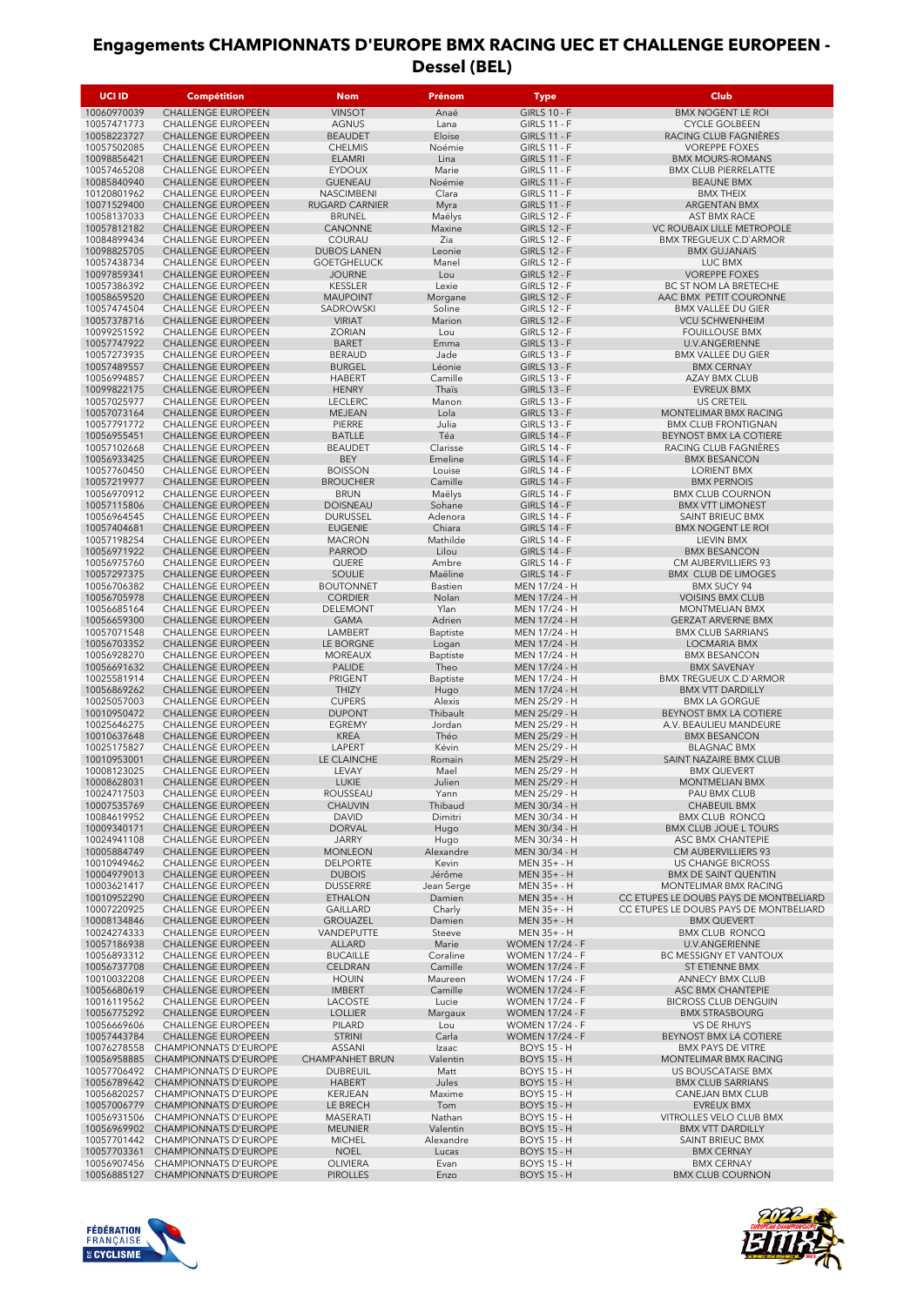| <b>UCI ID</b>              | <b>Compétition</b>                                           | <b>Nom</b>                                 | Prénom                | Type                                             | Club                                                         |
|----------------------------|--------------------------------------------------------------|--------------------------------------------|-----------------------|--------------------------------------------------|--------------------------------------------------------------|
| 10060970039                | CHALLENGE EUROPEEN                                           | <b>VINSOT</b>                              | Anaé                  | <b>GIRLS 10 - F</b>                              | <b>BMX NOGENT LE ROI</b>                                     |
| 10057471773                | <b>CHALLENGE EUROPEEN</b>                                    | <b>AGNUS</b>                               | Lana                  | <b>GIRLS 11 - F</b>                              | <b>CYCLE GOLBEEN</b>                                         |
| 10058223727<br>10057502085 | <b>CHALLENGE EUROPEEN</b><br><b>CHALLENGE EUROPEEN</b>       | <b>BEAUDET</b><br><b>CHELMIS</b>           | Eloise<br>Noémie      | <b>GIRLS 11 - F</b><br><b>GIRLS 11 - F</b>       | RACING CLUB FAGNIERES<br><b>VOREPPE FOXES</b>                |
| 10098856421                | <b>CHALLENGE EUROPEEN</b>                                    | <b>ELAMRI</b>                              | Lina                  | <b>GIRLS 11 - F</b>                              | <b>BMX MOURS-ROMANS</b>                                      |
| 10057465208                | <b>CHALLENGE EUROPEEN</b>                                    | <b>EYDOUX</b>                              | Marie                 | <b>GIRLS 11 - F</b>                              | <b>BMX CLUB PIERRELATTE</b>                                  |
| 10085840940                | <b>CHALLENGE EUROPEEN</b>                                    | <b>GUENEAU</b>                             | Noémie                | <b>GIRLS 11 - F</b>                              | <b>BEAUNE BMX</b>                                            |
| 10120801962<br>10071529400 | <b>CHALLENGE EUROPEEN</b><br>CHALLENGE EUROPEEN              | <b>NASCIMBENI</b><br><b>RUGARD CARNIER</b> | Clara<br>Myra         | <b>GIRLS 11 - F</b><br><b>GIRLS 11 - F</b>       | <b>BMX THEIX</b><br>ARGENTAN BMX                             |
| 10058137033                | <b>CHALLENGE EUROPEEN</b>                                    | <b>BRUNEL</b>                              | Maëlys                | <b>GIRLS 12 - F</b>                              | AST BMX RACE                                                 |
| 10057812182                | CHALLENGE EUROPEEN                                           | CANONNE                                    | Maxine                | <b>GIRLS 12 - F</b>                              | VC ROUBAIX LILLE METROPOLE                                   |
| 10084899434<br>10098825705 | <b>CHALLENGE EUROPEEN</b><br><b>CHALLENGE EUROPEEN</b>       | COURAU<br><b>DUBOS LANEN</b>               | Zia<br>Leonie         | <b>GIRLS 12 - F</b><br><b>GIRLS 12 - F</b>       | <b>BMX TREGUEUX C.D'ARMOR</b><br><b>BMX GUJANAIS</b>         |
| 10057438734                | <b>CHALLENGE EUROPEEN</b>                                    | <b>GOETGHELUCK</b>                         | Manel                 | <b>GIRLS 12 - F</b>                              | LUC BMX                                                      |
| 10097859341                | <b>CHALLENGE EUROPEEN</b>                                    | <b>JOURNE</b>                              | Lou                   | <b>GIRLS 12 - F</b>                              | <b>VOREPPE FOXES</b>                                         |
| 10057386392<br>10058659520 | <b>CHALLENGE EUROPEEN</b><br>CHALLENGE EUROPEEN              | <b>KESSLER</b><br><b>MAUPOINT</b>          | Lexie<br>Morgane      | <b>GIRLS 12 - F</b><br><b>GIRLS 12 - F</b>       | BC ST NOM LA BRETECHE<br>AAC BMX PETIT COURONNE              |
| 10057474504                | <b>CHALLENGE EUROPEEN</b>                                    | SADROWSKI                                  | Soline                | <b>GIRLS 12 - F</b>                              | <b>BMX VALLEE DU GIER</b>                                    |
| 10057378716                | CHALLENGE EUROPEEN                                           | <b>VIRIAT</b>                              | Marion                | <b>GIRLS 12 - F</b>                              | <b>VCU SCHWENHEIM</b>                                        |
| 10099251592<br>10057747922 | <b>CHALLENGE EUROPEEN</b>                                    | <b>ZORIAN</b><br><b>BARET</b>              | Lou<br>Emma           | <b>GIRLS 12 - F</b>                              | <b>FOUILLOUSE BMX</b>                                        |
| 10057273935                | CHALLENGE EUROPEEN<br>CHALLENGE EUROPEEN                     | <b>BERAUD</b>                              | Jade                  | <b>GIRLS 13 - F</b><br><b>GIRLS 13 - F</b>       | U.V.ANGERIENNE<br><b>BMX VALLEE DU GIER</b>                  |
| 10057489557                | <b>CHALLENGE EUROPEEN</b>                                    | <b>BURGEL</b>                              | Léonie                | <b>GIRLS 13 - F</b>                              | <b>BMX CERNAY</b>                                            |
| 10056994857                | <b>CHALLENGE EUROPEEN</b>                                    | <b>HABERT</b>                              | Camille               | <b>GIRLS 13 - F</b>                              | <b>AZAY BMX CLUB</b>                                         |
| 10099822175<br>10057025977 | <b>CHALLENGE EUROPEEN</b><br><b>CHALLENGE EUROPEEN</b>       | <b>HENRY</b><br><b>LECLERC</b>             | Thaïs<br>Manon        | <b>GIRLS 13 - F</b><br><b>GIRLS 13 - F</b>       | <b>EVREUX BMX</b><br><b>US CRETEIL</b>                       |
| 10057073164                | <b>CHALLENGE EUROPEEN</b>                                    | MEJEAN                                     | Lola                  | <b>GIRLS 13 - F</b>                              | MONTELIMAR BMX RACING                                        |
| 10057791772                | CHALLENGE EUROPEEN                                           | PIERRE                                     | Julia                 | <b>GIRLS 13 - F</b>                              | <b>BMX CLUB FRONTIGNAN</b>                                   |
| 10056955451<br>10057102668 | <b>CHALLENGE EUROPEEN</b><br><b>CHALLENGE EUROPEEN</b>       | <b>BATLLE</b><br><b>BEAUDET</b>            | Téa<br>Clarisse       | <b>GIRLS 14 - F</b><br><b>GIRLS 14 - F</b>       | BEYNOST BMX LA COTIERE<br>RACING CLUB FAGNIERES              |
| 10056933425                | <b>CHALLENGE EUROPEEN</b>                                    | <b>BEY</b>                                 | Emeline               | <b>GIRLS 14 - F</b>                              | <b>BMX BESANCON</b>                                          |
| 10057760450                | CHALLENGE EUROPEEN                                           | <b>BOISSON</b>                             | Louise                | <b>GIRLS 14 - F</b>                              | <b>LORIENT BMX</b>                                           |
| 10057219977                | <b>CHALLENGE EUROPEEN</b>                                    | <b>BROUCHIER</b>                           | Camille               | <b>GIRLS 14 - F</b>                              | <b>BMX PERNOIS</b>                                           |
| 10056970912<br>10057115806 | CHALLENGE EUROPEEN<br>CHALLENGE EUROPEEN                     | <b>BRUN</b><br><b>DOISNEAU</b>             | Maëlys<br>Sohane      | <b>GIRLS 14 - F</b><br><b>GIRLS 14 - F</b>       | <b>BMX CLUB COURNON</b><br><b>BMX VTT LIMONEST</b>           |
| 10056964545                | CHALLENGE EUROPEEN                                           | <b>DURUSSEL</b>                            | Adenora               | <b>GIRLS 14 - F</b>                              | SAINT BRIEUC BMX                                             |
| 10057404681                | CHALLENGE EUROPEEN                                           | <b>EUGENIE</b>                             | Chiara                | <b>GIRLS 14 - F</b>                              | <b>BMX NOGENT LE ROI</b>                                     |
| 10057198254                | <b>CHALLENGE EUROPEEN</b>                                    | <b>MACRON</b>                              | Mathilde              | <b>GIRLS 14 - F</b>                              | LIEVIN BMX                                                   |
| 10056971922<br>10056975760 | <b>CHALLENGE EUROPEEN</b><br>CHALLENGE EUROPEEN              | <b>PARROD</b><br>QUERE                     | Lilou<br>Ambre        | <b>GIRLS 14 - F</b><br><b>GIRLS 14 - F</b>       | <b>BMX BESANCON</b><br>CM AUBERVILLIERS 93                   |
| 10057297375                | <b>CHALLENGE EUROPEEN</b>                                    | SOULIE                                     | Maëline               | <b>GIRLS 14 - F</b>                              | <b>BMX CLUB DE LIMOGES</b>                                   |
| 10056706382                | CHALLENGE EUROPEEN                                           | <b>BOUTONNET</b>                           | Bastien               | MEN 17/24 - H                                    | <b>BMX SUCY 94</b>                                           |
| 10056705978<br>10056685164 | CHALLENGE EUROPEEN<br>CHALLENGE EUROPEEN                     | <b>CORDIER</b><br>DELEMONT                 | Nolan<br>Ylan         | MEN 17/24 - H<br>MEN 17/24 - H                   | <b>VOISINS BMX CLUB</b><br><b>MONTMELIAN BMX</b>             |
| 10056659300                | <b>CHALLENGE EUROPEEN</b>                                    | <b>GAMA</b>                                | Adrien                | MEN 17/24 - H                                    | <b>GERZAT ARVERNE BMX</b>                                    |
| 10057071548                | CHALLENGE EUROPEEN                                           | LAMBERT                                    | Baptiste              | MEN 17/24 - H                                    | <b>BMX CLUB SARRIANS</b>                                     |
| 10056703352                | CHALLENGE EUROPEEN                                           | LE BORGNE                                  | Logan                 | MEN 17/24 - H                                    | <b>LOCMARIA BMX</b>                                          |
| 10056928270<br>10056691632 | CHALLENGE EUROPEEN<br><b>CHALLENGE EUROPEEN</b>              | <b>MOREAUX</b><br><b>PALIDE</b>            | Baptiste<br>Theo      | MEN 17/24 - H<br>MEN 17/24 - H                   | <b>BMX BESANCON</b><br><b>BMX SAVENAY</b>                    |
| 10025581914                | <b>CHALLENGE EUROPEEN</b>                                    | PRIGENT                                    | Baptiste              | MEN 17/24 - H                                    | <b>BMX TREGUEUX C.D'ARMOR</b>                                |
| 10056869262                | <b>CHALLENGE EUROPEEN</b>                                    | <b>THIZY</b>                               | Hugo                  | MEN 17/24 - H                                    | <b>BMX VTT DARDILLY</b>                                      |
| 10025057003<br>10010950472 | <b>CHALLENGE EUROPEEN</b><br><b>CHALLENGE EUROPEEN</b>       | <b>CUPERS</b><br><b>DUPONT</b>             | Alexis<br>Thibault    | MEN 25/29 - H<br>MEN 25/29 - H                   | <b>BMX LA GORGUE</b><br><b>BEYNOST BMX LA COTIERE</b>        |
| 10025646275                | <b>CHALLENGE EUROPEEN</b>                                    | <b>EGREMY</b>                              | Jordan                | MEN 25/29 - H                                    | A.V. BEAULIEU MANDEURE                                       |
| 10010637648                | <b>CHALLENGE EUROPEEN</b>                                    | <b>KREA</b>                                | Théo                  | MEN 25/29 - H                                    | <b>BMX BESANCON</b>                                          |
| 10025175827                | <b>CHALLENGE EUROPEEN</b>                                    | LAPERT                                     | Kévin                 | MEN 25/29 - H                                    | <b>BLAGNAC BMX</b>                                           |
| 10010953001<br>10008123025 | <b>CHALLENGE EUROPEEN</b><br><b>CHALLENGE EUROPEEN</b>       | LE CLAINCHE<br>LEVAY                       | Romain<br>Mael        | MEN 25/29 - H<br>MEN 25/29 - H                   | SAINT NAZAIRE BMX CLUB<br><b>BMX QUEVERT</b>                 |
| 10008628031                | CHALLENGE EUROPEEN                                           | LUKIE                                      | Julien                | MEN 25/29 - H                                    | MONTMELIAN BMX                                               |
| 10024717503                | CHALLENGE EUROPEEN                                           | ROUSSEAU                                   | Yann                  | MEN 25/29 - H                                    | PAU BMX CLUB                                                 |
| 10007535769<br>10084619952 | CHALLENGE EUROPEEN<br><b>CHALLENGE EUROPEEN</b>              | CHAUVIN<br><b>DAVID</b>                    | Thibaud<br>Dimitri    | MEN 30/34 - H<br>MEN 30/34 - H                   | CHABEUIL BMX<br><b>BMX CLUB RONCQ</b>                        |
| 10009340171                | CHALLENGE EUROPEEN                                           | <b>DORVAL</b>                              | Hugo                  | MEN 30/34 - H                                    | <b>BMX CLUB JOUE L TOURS</b>                                 |
| 10024941108                | CHALLENGE EUROPEEN                                           | <b>JARRY</b>                               | Hugo                  | MEN 30/34 - H                                    | ASC BMX CHANTEPIE                                            |
| 10005884749                | CHALLENGE EUROPEEN                                           | <b>MONLEON</b>                             | Alexandre             | MEN 30/34 - H                                    | CM AUBERVILLIERS 93                                          |
| 10010949462<br>10004979013 | CHALLENGE EUROPEEN<br>CHALLENGE EUROPEEN                     | <b>DELPORTE</b><br><b>DUBOIS</b>           | Kevin<br>Jérôme       | MEN 35+ - H<br>MEN 35+ - H                       | <b>US CHANGE BICROSS</b><br><b>BMX DE SAINT QUENTIN</b>      |
| 10003621417                | <b>CHALLENGE EUROPEEN</b>                                    | <b>DUSSERRE</b>                            | Jean Serge            | MEN 35+ - H                                      | MONTELIMAR BMX RACING                                        |
| 10010952290                | CHALLENGE EUROPEEN                                           | <b>ETHALON</b>                             | Damien                | MEN 35+ - H                                      | CC ETUPES LE DOUBS PAYS DE MONTBELIARD                       |
| 10007220925<br>10008134846 | CHALLENGE EUROPEEN<br>CHALLENGE EUROPEEN                     | <b>GAILLARD</b><br><b>GROUAZEL</b>         | Charly<br>Damien      | MEN 35+ - H<br>MEN 35+ - H                       | CC ETUPES LE DOUBS PAYS DE MONTBELIARD<br><b>BMX QUEVERT</b> |
| 10024274333                | CHALLENGE EUROPEEN                                           | VANDEPUTTE                                 | Steeve                | MEN 35+ - H                                      | <b>BMX CLUB RONCQ</b>                                        |
| 10057186938                | CHALLENGE EUROPEEN                                           | <b>ALLARD</b>                              | Marie                 | <b>WOMEN 17/24 - F</b>                           | U.V.ANGERIENNE                                               |
| 10056893312                | CHALLENGE EUROPEEN                                           | <b>BUCAILLE</b>                            | Coraline              | <b>WOMEN 17/24 - F</b>                           | BC MESSIGNY ET VANTOUX                                       |
| 10056737708<br>10010032208 | CHALLENGE EUROPEEN<br>CHALLENGE EUROPEEN                     | CELDRAN<br><b>HOUIN</b>                    | Camille<br>Maureen    | <b>WOMEN 17/24 - F</b><br><b>WOMEN 17/24 - F</b> | ST ETIENNE BMX<br>ANNECY BMX CLUB                            |
| 10056680619                | CHALLENGE EUROPEEN                                           | <b>IMBERT</b>                              | Camille               | <b>WOMEN 17/24 - F</b>                           | ASC BMX CHANTEPIE                                            |
| 10016119562                | CHALLENGE EUROPEEN                                           | LACOSTE                                    | Lucie                 | <b>WOMEN 17/24 - F</b>                           | <b>BICROSS CLUB DENGUIN</b>                                  |
| 10056775292<br>10056669606 | CHALLENGE EUROPEEN<br><b>CHALLENGE EUROPEEN</b>              | <b>LOLLIER</b><br>PILARD                   | Margaux<br>Lou        | <b>WOMEN 17/24 - F</b><br><b>WOMEN 17/24 - F</b> | <b>BMX STRASBOURG</b><br><b>VS DE RHUYS</b>                  |
| 10057443784                | <b>CHALLENGE EUROPEEN</b>                                    | <b>STRINI</b>                              | Carla                 | <b>WOMEN 17/24 - F</b>                           | BEYNOST BMX LA COTIERE                                       |
| 10076278558                | CHAMPIONNATS D'EUROPE                                        | ASSANI                                     | Izaac                 | <b>BOYS 15 - H</b>                               | <b>BMX PAYS DE VITRE</b>                                     |
| 10056958885                | <b>CHAMPIONNATS D'EUROPE</b>                                 | <b>CHAMPANHET BRUN</b>                     | Valentin              | <b>BOYS 15 - H</b>                               | MONTELIMAR BMX RACING                                        |
| 10057706492<br>10056789642 | <b>CHAMPIONNATS D'EUROPE</b><br><b>CHAMPIONNATS D'EUROPE</b> | <b>DUBREUIL</b><br>HABERT                  | Matt<br>Jules         | <b>BOYS 15 - H</b><br><b>BOYS 15 - H</b>         | US BOUSCATAISE BMX<br><b>BMX CLUB SARRIANS</b>               |
| 10056820257                | CHAMPIONNATS D'EUROPE                                        | KERJEAN                                    | Maxime                | <b>BOYS 15 - H</b>                               | CANEJAN BMX CLUB                                             |
| 10057006779                | <b>CHAMPIONNATS D'EUROPE</b>                                 | LE BRECH                                   | Tom                   | <b>BOYS 15 - H</b>                               | <b>EVREUX BMX</b>                                            |
| 10056931506<br>10056969902 | CHAMPIONNATS D'EUROPE                                        | <b>MASERATI</b>                            | Nathan                | <b>BOYS 15 - H</b>                               | VITROLLES VELO CLUB BMX                                      |
| 10057701442                | CHAMPIONNATS D'EUROPE<br>CHAMPIONNATS D'EUROPE               | <b>MEUNIER</b><br><b>MICHEL</b>            | Valentin<br>Alexandre | <b>BOYS 15 - H</b><br><b>BOYS 15 - H</b>         | <b>BMX VTT DARDILLY</b><br>SAINT BRIEUC BMX                  |
| 10057703361                | CHAMPIONNATS D'EUROPE                                        | <b>NOEL</b>                                | Lucas                 | <b>BOYS 15 - H</b>                               | <b>BMX CERNAY</b>                                            |
| 10056907456                | CHAMPIONNATS D'EUROPE                                        | OLIVIERA                                   | Evan                  | <b>BOYS 15 - H</b>                               | <b>BMX CERNAY</b>                                            |
| 10056885127                | CHAMPIONNATS D'EUROPE                                        | <b>PIROLLES</b>                            | Enzo                  | <b>BOYS 15 - H</b>                               | <b>BMX CLUB COURNON</b>                                      |



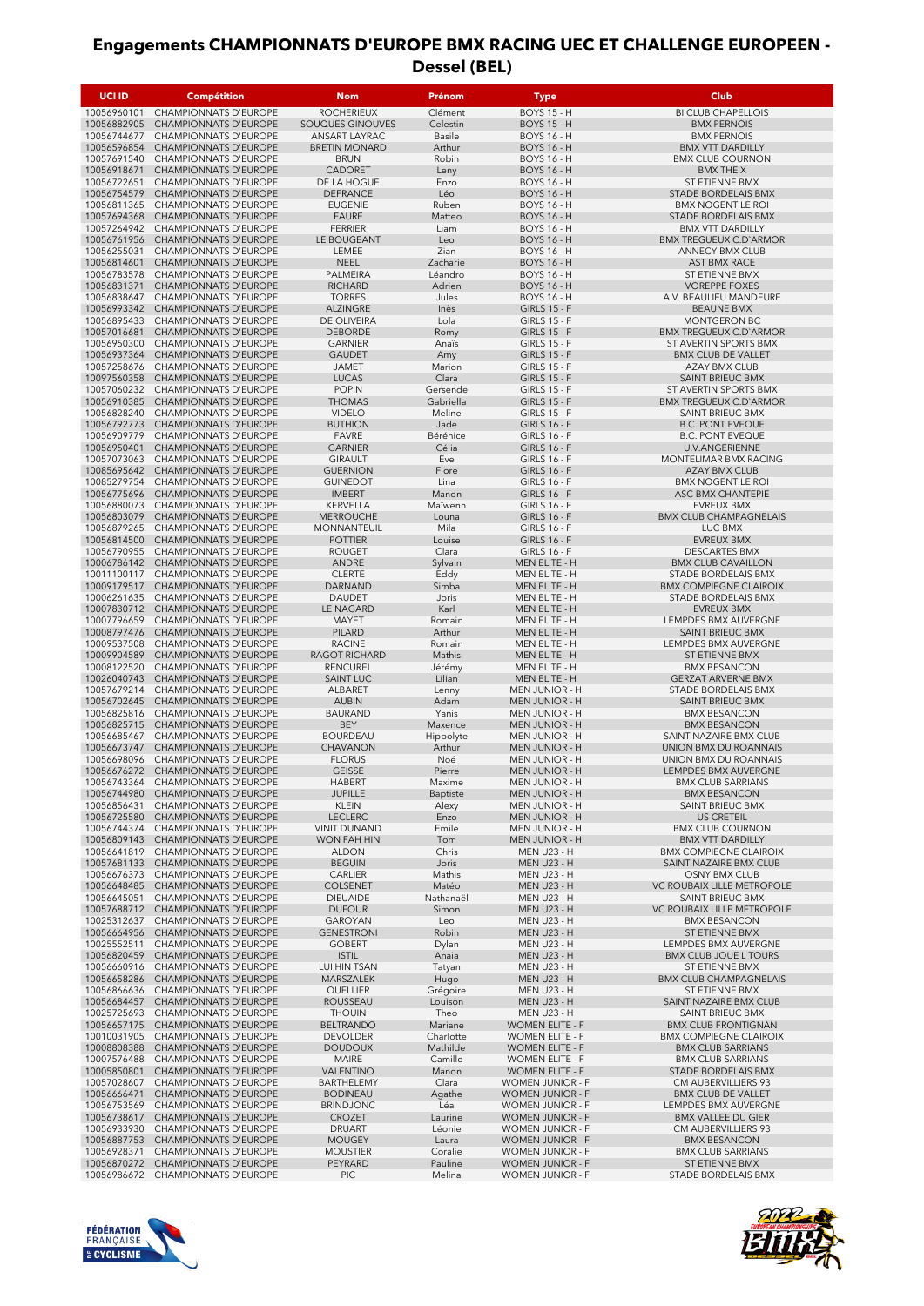| UCI ID                     | Compétition                                                  | <b>Nom</b>                            | Prénom                | <b>Type</b>                                      | <b>Club</b>                                                 |
|----------------------------|--------------------------------------------------------------|---------------------------------------|-----------------------|--------------------------------------------------|-------------------------------------------------------------|
| 10056960101                | CHAMPIONNATS D'EUROPE                                        | <b>ROCHERIEUX</b>                     | Clément               | <b>BOYS 15 - H</b>                               | <b>BI CLUB CHAPELLOIS</b>                                   |
| 10056882905                | <b>CHAMPIONNATS D'EUROPE</b>                                 | SOUQUES GINOUVES                      | Celestin              | <b>BOYS 15 - H</b>                               | <b>BMX PERNOIS</b>                                          |
| 10056744677                | <b>CHAMPIONNATS D'EUROPE</b>                                 | ANSART LAYRAC                         | <b>Basile</b>         | <b>BOYS 16 - H</b>                               | <b>BMX PERNOIS</b>                                          |
| 10056596854<br>10057691540 | <b>CHAMPIONNATS D'EUROPE</b><br><b>CHAMPIONNATS D'EUROPE</b> | <b>BRETIN MONARD</b><br><b>BRUN</b>   | Arthur<br>Robin       | <b>BOYS 16 - H</b><br><b>BOYS 16 - H</b>         | <b>BMX VTT DARDILLY</b>                                     |
| 10056918671                | <b>CHAMPIONNATS D'EUROPE</b>                                 | <b>CADORET</b>                        | Leny                  | <b>BOYS 16 - H</b>                               | <b>BMX CLUB COURNON</b><br><b>BMX THEIX</b>                 |
| 10056722651                | <b>CHAMPIONNATS D'EUROPE</b>                                 | DE LA HOGUE                           | Enzo                  | <b>BOYS 16 - H</b>                               | ST ETIENNE BMX                                              |
| 10056754579                | <b>CHAMPIONNATS D'EUROPE</b>                                 | <b>DEFRANCE</b>                       | Léo                   | <b>BOYS 16 - H</b>                               | <b>STADE BORDELAIS BMX</b>                                  |
| 10056811365                | <b>CHAMPIONNATS D'EUROPE</b>                                 | <b>EUGENIE</b>                        | Ruben                 | <b>BOYS 16 - H</b>                               | <b>BMX NOGENT LE ROI</b>                                    |
| 10057694368                | <b>CHAMPIONNATS D'EUROPE</b>                                 | <b>FAURE</b>                          | Matteo                | <b>BOYS 16 - H</b>                               | STADE BORDELAIS BMX                                         |
| 10057264942                | CHAMPIONNATS D'EUROPE                                        | <b>FERRIER</b>                        | Liam                  | <b>BOYS 16 - H</b>                               | <b>BMX VTT DARDILLY</b>                                     |
| 10056761956<br>10056255031 | <b>CHAMPIONNATS D'EUROPE</b><br><b>CHAMPIONNATS D'EUROPE</b> | LE BOUGEANT<br>LEMEE                  | Leo<br>Zian           | <b>BOYS 16 - H</b><br><b>BOYS 16 - H</b>         | <b>BMX TREGUEUX C.D'ARMOR</b><br><b>ANNECY BMX CLUB</b>     |
| 10056814601                | <b>CHAMPIONNATS D'EUROPE</b>                                 | <b>NEEL</b>                           | Zacharie              | <b>BOYS 16 - H</b>                               | AST BMX RACE                                                |
| 10056783578                | CHAMPIONNATS D'EUROPE                                        | PALMEIRA                              | Léandro               | <b>BOYS 16 - H</b>                               | <b>ST ETIENNE BMX</b>                                       |
| 10056831371                | <b>CHAMPIONNATS D'EUROPE</b>                                 | <b>RICHARD</b>                        | Adrien                | <b>BOYS 16 - H</b>                               | <b>VOREPPE FOXES</b>                                        |
| 10056838647                | CHAMPIONNATS D'EUROPE                                        | <b>TORRES</b>                         | Jules                 | <b>BOYS 16 - H</b>                               | A.V. BEAULIEU MANDEURE                                      |
| 10056993342<br>10056895433 | <b>CHAMPIONNATS D'EUROPE</b><br><b>CHAMPIONNATS D'EUROPE</b> | <b>ALZINGRE</b><br>DE OLIVEIRA        | Inès<br>Lola          | <b>GIRLS 15 - F</b><br><b>GIRLS 15 - F</b>       | <b>BEAUNE BMX</b><br>MONTGERON BC                           |
| 10057016681                | <b>CHAMPIONNATS D'EUROPE</b>                                 | <b>DEBORDE</b>                        | Romy                  | <b>GIRLS 15 - F</b>                              | <b>BMX TREGUEUX C.D'ARMOR</b>                               |
| 10056950300                | CHAMPIONNATS D'EUROPE                                        | <b>GARNIER</b>                        | Anaïs                 | <b>GIRLS 15 - F</b>                              | ST AVERTIN SPORTS BMX                                       |
| 10056937364                | <b>CHAMPIONNATS D'EUROPE</b>                                 | <b>GAUDET</b>                         | Amy                   | <b>GIRLS 15 - F</b>                              | <b>BMX CLUB DE VALLET</b>                                   |
| 10057258676                | <b>CHAMPIONNATS D'EUROPE</b>                                 | <b>JAMET</b>                          | Marion                | <b>GIRLS 15 - F</b>                              | <b>AZAY BMX CLUB</b>                                        |
| 10097560358<br>10057060232 | <b>CHAMPIONNATS D'EUROPE</b><br><b>CHAMPIONNATS D'EUROPE</b> | <b>LUCAS</b><br><b>POPIN</b>          | Clara<br>Gersende     | <b>GIRLS 15 - F</b><br><b>GIRLS 15 - F</b>       | SAINT BRIEUC BMX<br>ST AVERTIN SPORTS BMX                   |
| 10056910385                | <b>CHAMPIONNATS D'EUROPE</b>                                 | <b>THOMAS</b>                         | Gabriella             | <b>GIRLS 15 - F</b>                              | <b>BMX TREGUEUX C.D'ARMOR</b>                               |
| 10056828240                | <b>CHAMPIONNATS D'EUROPE</b>                                 | <b>VIDELO</b>                         | Meline                | <b>GIRLS 15 - F</b>                              | SAINT BRIEUC BMX                                            |
| 10056792773                | <b>CHAMPIONNATS D'EUROPE</b>                                 | <b>BUTHION</b>                        | Jade                  | <b>GIRLS 16 - F</b>                              | <b>B.C. PONT EVEQUE</b>                                     |
| 10056909779                | <b>CHAMPIONNATS D'EUROPE</b>                                 | <b>FAVRE</b>                          | Bérénice              | <b>GIRLS 16 - F</b>                              | <b>B.C. PONT EVEQUE</b>                                     |
| 10056950401                | <b>CHAMPIONNATS D'EUROPE</b>                                 | <b>GARNIER</b>                        | Célia                 | <b>GIRLS 16 - F</b>                              | <b>U.V.ANGERIENNE</b>                                       |
| 10057073063<br>10085695642 | <b>CHAMPIONNATS D'EUROPE</b><br><b>CHAMPIONNATS D'EUROPE</b> | <b>GIRAULT</b><br><b>GUERNION</b>     | Eve<br>Flore          | <b>GIRLS 16 - F</b><br><b>GIRLS 16 - F</b>       | MONTELIMAR BMX RACING<br><b>AZAY BMX CLUB</b>               |
| 10085279754                | CHAMPIONNATS D'EUROPE                                        | <b>GUINEDOT</b>                       | Lina                  | <b>GIRLS 16 - F</b>                              | <b>BMX NOGENT LE ROI</b>                                    |
| 10056775696                | <b>CHAMPIONNATS D'EUROPE</b>                                 | <b>IMBERT</b>                         | Manon                 | <b>GIRLS 16 - F</b>                              | ASC BMX CHANTEPIE                                           |
| 10056880073                | CHAMPIONNATS D'EUROPE                                        | <b>KERVELLA</b>                       | Maïwenn               | <b>GIRLS 16 - F</b>                              | <b>EVREUX BMX</b>                                           |
| 10056803079                | <b>CHAMPIONNATS D'EUROPE</b>                                 | <b>MERROUCHE</b>                      | Louna                 | <b>GIRLS 16 - F</b>                              | <b>BMX CLUB CHAMPAGNELAIS</b>                               |
| 10056879265<br>10056814500 | CHAMPIONNATS D'EUROPE<br><b>CHAMPIONNATS D'EUROPE</b>        | MONNANTEUIL<br><b>POTTIER</b>         | Mila<br>Louise        | <b>GIRLS 16 - F</b><br><b>GIRLS 16 - F</b>       | LUC BMX<br><b>EVREUX BMX</b>                                |
| 10056790955                | CHAMPIONNATS D'EUROPE                                        | <b>ROUGET</b>                         | Clara                 | <b>GIRLS 16 - F</b>                              | <b>DESCARTES BMX</b>                                        |
| 10006786142                | <b>CHAMPIONNATS D'EUROPE</b>                                 | ANDRE                                 | Sylvain               | MEN ELITE - H                                    | <b>BMX CLUB CAVAILLON</b>                                   |
| 10011100117                | <b>CHAMPIONNATS D'EUROPE</b>                                 | <b>CLERTE</b>                         | Eddy                  | MEN ELITE - H                                    | STADE BORDELAIS BMX                                         |
| 10009179517                | <b>CHAMPIONNATS D'EUROPE</b>                                 | DARNAND                               | Simba                 | MEN ELITE - H                                    | <b>BMX COMPIEGNE CLAIROIX</b>                               |
| 10006261635<br>10007830712 | <b>CHAMPIONNATS D'EUROPE</b>                                 | <b>DAUDET</b>                         | Joris                 | MEN ELITE - H                                    | STADE BORDELAIS BMX                                         |
| 10007796659                | <b>CHAMPIONNATS D'EUROPE</b><br><b>CHAMPIONNATS D'EUROPE</b> | LE NAGARD<br>MAYET                    | Karl<br>Romain        | MEN ELITE - H<br>MEN ELITE - H                   | <b>EVREUX BMX</b><br>LEMPDES BMX AUVERGNE                   |
| 10008797476                | <b>CHAMPIONNATS D'EUROPE</b>                                 | PILARD                                | Arthur                | MEN ELITE - H                                    | <b>SAINT BRIEUC BMX</b>                                     |
| 10009537508                | CHAMPIONNATS D'EUROPE                                        | <b>RACINE</b>                         | Romain                | MEN ELITE - H                                    | LEMPDES BMX AUVERGNE                                        |
| 10009904589                | <b>CHAMPIONNATS D'EUROPE</b>                                 | <b>RAGOT RICHARD</b>                  | Mathis                | MEN ELITE - H                                    | <b>ST ETIENNE BMX</b>                                       |
| 10008122520                | CHAMPIONNATS D'EUROPE                                        | <b>RENCUREL</b>                       | Jérémy                | MEN ELITE - H                                    | <b>BMX BESANCON</b>                                         |
| 10026040743<br>10057679214 | <b>CHAMPIONNATS D'EUROPE</b><br><b>CHAMPIONNATS D'EUROPE</b> | <b>SAINT LUC</b><br>ALBARET           | Lilian<br>Lenny       | MEN ELITE - H<br><b>MEN JUNIOR - H</b>           | <b>GERZAT ARVERNE BMX</b><br>STADE BORDELAIS BMX            |
| 10056702645                | <b>CHAMPIONNATS D'EUROPE</b>                                 | <b>AUBIN</b>                          | Adam                  | <b>MEN JUNIOR - H</b>                            | SAINT BRIEUC BMX                                            |
| 10056825816                | <b>CHAMPIONNATS D'EUROPE</b>                                 | <b>BAURAND</b>                        | Yanis                 | <b>MEN JUNIOR - H</b>                            | <b>BMX BESANCON</b>                                         |
| 10056825715                | <b>CHAMPIONNATS D'EUROPE</b>                                 | <b>BEY</b>                            | Maxence               | <b>MEN JUNIOR - H</b>                            | <b>BMX BESANCON</b>                                         |
| 10056685467                | <b>CHAMPIONNATS D'EUROPE</b>                                 | <b>BOURDEAU</b>                       | Hippolyte             | <b>MEN JUNIOR - H</b>                            | SAINT NAZAIRE BMX CLUB                                      |
| 10056673747<br>10056698096 | <b>CHAMPIONNATS D'EUROPE</b><br><b>CHAMPIONNATS D'EUROPE</b> | CHAVANON<br><b>FLORUS</b>             | Arthur<br>Noé         | <b>MEN JUNIOR - H</b><br><b>MEN JUNIOR - H</b>   | UNION BMX DU ROANNAIS<br>UNION BMX DU ROANNAIS              |
| 10056676272                | <b>CHAMPIONNATS D'EUROPE</b>                                 | <b>GEISSE</b>                         | Pierre                | <b>MEN JUNIOR - H</b>                            | LEMPDES BMX AUVERGNE                                        |
| 10056743364                | <b>CHAMPIONNATS D'EUROPE</b>                                 | <b>HABERT</b>                         | Maxime                | <b>MEN JUNIOR - H</b>                            | <b>BMX CLUB SARRIANS</b>                                    |
| 10056744980                | CHAMPIONNATS D'EUROPE                                        | <b>JUPILLE</b>                        | Baptiste              | <b>MEN JUNIOR - H</b>                            | <b>BMX BESANCON</b>                                         |
| 10056856431                | <b>CHAMPIONNATS D'EUROPE</b>                                 | <b>KLEIN</b>                          | Alexy                 | <b>MEN JUNIOR - H</b>                            | SAINT BRIEUC BMX                                            |
| 10056725580<br>10056744374 | CHAMPIONNATS D'EUROPE<br>CHAMPIONNATS D'EUROPE               | <b>LECLERC</b><br><b>VINIT DUNAND</b> | Enzo<br>Emile         | <b>MEN JUNIOR - H</b><br><b>MEN JUNIOR - H</b>   | <b>US CRETEIL</b><br><b>BMX CLUB COURNON</b>                |
| 10056809143                | CHAMPIONNATS D'EUROPE                                        | <b>WON FAH HIN</b>                    | Tom                   | <b>MEN JUNIOR - H</b>                            | <b>BMX VTT DARDILLY</b>                                     |
| 10056641819                | <b>CHAMPIONNATS D'EUROPE</b>                                 | <b>ALDON</b>                          | Chris                 | <b>MEN U23 - H</b>                               | <b>BMX COMPIEGNE CLAIROIX</b>                               |
| 10057681133                | CHAMPIONNATS D'EUROPE                                        | <b>BEGUIN</b>                         | Joris                 | <b>MEN U23 - H</b>                               | SAINT NAZAIRE BMX CLUB                                      |
| 10056676373                | CHAMPIONNATS D'EUROPE                                        | CARLIER                               | Mathis                | <b>MEN U23 - H</b>                               | OSNY BMX CLUB                                               |
| 10056648485<br>10056645051 | CHAMPIONNATS D'EUROPE<br>CHAMPIONNATS D'EUROPE               | <b>COLSENET</b><br><b>DIEUAIDE</b>    | Matéo<br>Nathanaël    | <b>MEN U23 - H</b><br><b>MEN U23 - H</b>         | VC ROUBAIX LILLE METROPOLE<br>SAINT BRIEUC BMX              |
| 10057688712                | CHAMPIONNATS D'EUROPE                                        | <b>DUFOUR</b>                         | Simon                 | <b>MEN U23 - H</b>                               | VC ROUBAIX LILLE METROPOLE                                  |
| 10025312637                | CHAMPIONNATS D'EUROPE                                        | GAROYAN                               | Leo                   | <b>MEN U23 - H</b>                               | <b>BMX BESANCON</b>                                         |
| 10056664956                | CHAMPIONNATS D'EUROPE                                        | <b>GENESTRONI</b>                     | Robin                 | <b>MEN U23 - H</b>                               | ST ETIENNE BMX                                              |
| 10025552511                | CHAMPIONNATS D'EUROPE                                        | <b>GOBERT</b>                         | Dylan                 | <b>MEN U23 - H</b>                               | LEMPDES BMX AUVERGNE                                        |
| 10056820459<br>10056660916 | CHAMPIONNATS D'EUROPE<br>CHAMPIONNATS D'EUROPE               | <b>ISTIL</b><br>LUI HIN TSAN          | Anaia<br>Tatyan       | <b>MEN U23 - H</b><br><b>MEN U23 - H</b>         | <b>BMX CLUB JOUE L TOURS</b><br>ST ETIENNE BMX              |
| 10056658286                | CHAMPIONNATS D'EUROPE                                        | MARSZALEK                             | Hugo                  | <b>MEN U23 - H</b>                               | <b>BMX CLUB CHAMPAGNELAIS</b>                               |
| 10056866636                | CHAMPIONNATS D'EUROPE                                        | QUELLIER                              | Grégoire              | <b>MEN U23 - H</b>                               | ST ETIENNE BMX                                              |
| 10056684457                | CHAMPIONNATS D'EUROPE                                        | ROUSSEAU                              | Louison               | <b>MEN U23 - H</b>                               | SAINT NAZAIRE BMX CLUB                                      |
| 10025725693                | CHAMPIONNATS D'EUROPE                                        | <b>THOUIN</b>                         | Theo                  | <b>MEN U23 - H</b>                               | SAINT BRIEUC BMX                                            |
| 10056657175                | CHAMPIONNATS D'EUROPE                                        | <b>BELTRANDO</b>                      | Mariane               | <b>WOMEN ELITE - F</b>                           | <b>BMX CLUB FRONTIGNAN</b><br><b>BMX COMPIEGNE CLAIROIX</b> |
| 10010031905<br>10008808388 | CHAMPIONNATS D'EUROPE<br>CHAMPIONNATS D'EUROPE               | <b>DEVOLDER</b><br><b>DOUDOUX</b>     | Charlotte<br>Mathilde | <b>WOMEN ELITE - F</b><br><b>WOMEN ELITE - F</b> | <b>BMX CLUB SARRIANS</b>                                    |
| 10007576488                | CHAMPIONNATS D'EUROPE                                        | MAIRE                                 | Camille               | <b>WOMEN ELITE - F</b>                           | <b>BMX CLUB SARRIANS</b>                                    |
| 10005850801                | CHAMPIONNATS D'EUROPE                                        | VALENTINO                             | Manon                 | <b>WOMEN ELITE - F</b>                           | STADE BORDELAIS BMX                                         |
| 10057028607                | CHAMPIONNATS D'EUROPE                                        | BARTHELEMY                            | Clara                 | WOMEN JUNIOR - F                                 | CM AUBERVILLIERS 93                                         |
| 10056666471                | CHAMPIONNATS D'EUROPE                                        | <b>BODINEAU</b>                       | Agathe                | <b>WOMEN JUNIOR - F</b>                          | <b>BMX CLUB DE VALLET</b>                                   |
| 10056753569<br>10056738617 | CHAMPIONNATS D'EUROPE<br><b>CHAMPIONNATS D'EUROPE</b>        | <b>BRINDJONC</b><br><b>CROZET</b>     | Léa<br>Laurine        | WOMEN JUNIOR - F<br><b>WOMEN JUNIOR - F</b>      | LEMPDES BMX AUVERGNE<br><b>BMX VALLEE DU GIER</b>           |
| 10056933930                | CHAMPIONNATS D'EUROPE                                        | DRUART                                | Léonie                | WOMEN JUNIOR - F                                 | CM AUBERVILLIERS 93                                         |
| 10056887753                | <b>CHAMPIONNATS D'EUROPE</b>                                 | <b>MOUGEY</b>                         | Laura                 | <b>WOMEN JUNIOR - F</b>                          | <b>BMX BESANCON</b>                                         |
| 10056928371                | CHAMPIONNATS D'EUROPE                                        | <b>MOUSTIER</b>                       | Coralie               | WOMEN JUNIOR - F                                 | <b>BMX CLUB SARRIANS</b>                                    |
| 10056870272                | CHAMPIONNATS D'EUROPE                                        | PEYRARD                               | Pauline               | <b>WOMEN JUNIOR - F</b>                          | ST ETIENNE BMX                                              |
| 10056986672                | CHAMPIONNATS D'EUROPE                                        | <b>PIC</b>                            | Melina                | WOMEN JUNIOR - F                                 | STADE BORDELAIS BMX                                         |